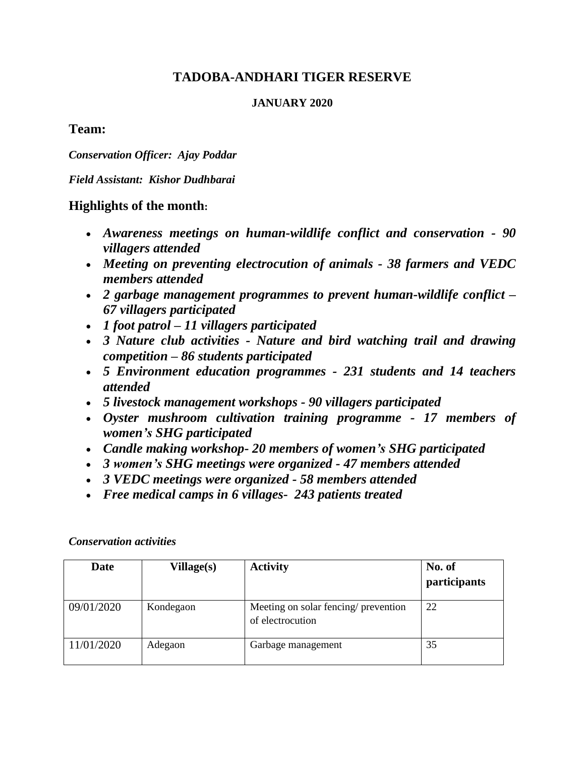# **TADOBA-ANDHARI TIGER RESERVE**

#### **JANUARY 2020**

## **Team:**

*Conservation Officer: Ajay Poddar*

*Field Assistant: Kishor Dudhbarai*

## **Highlights of the month:**

- *Awareness meetings on human-wildlife conflict and conservation - 90 villagers attended*
- *Meeting on preventing electrocution of animals - 38 farmers and VEDC members attended*
- *2 garbage management programmes to prevent human-wildlife conflict – 67 villagers participated*
- *1 foot patrol – 11 villagers participated*
- *3 Nature club activities - Nature and bird watching trail and drawing competition – 86 students participated*
- *5 Environment education programmes - 231 students and 14 teachers attended*
- *5 livestock management workshops - 90 villagers participated*
- *Oyster mushroom cultivation training programme - 17 members of women's SHG participated*
- *Candle making workshop- 20 members of women's SHG participated*
- *3 women's SHG meetings were organized - 47 members attended*
- *3 VEDC meetings were organized - 58 members attended*
- *Free medical camps in 6 villages- 243 patients treated*

| Date       | Village(s) | <b>Activity</b>                                          | No. of<br>participants |
|------------|------------|----------------------------------------------------------|------------------------|
| 09/01/2020 | Kondegaon  | Meeting on solar fencing/ prevention<br>of electrocution | 22                     |
| 11/01/2020 | Adegaon    | Garbage management                                       | 35                     |

*Conservation activities*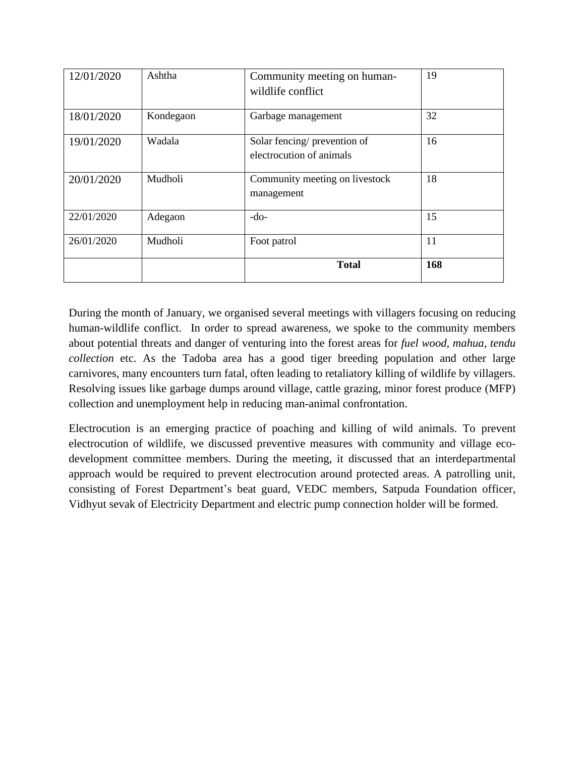| 12/01/2020 | Ashtha    | Community meeting on human-<br>wildlife conflict         | 19  |
|------------|-----------|----------------------------------------------------------|-----|
| 18/01/2020 | Kondegaon | Garbage management                                       | 32  |
| 19/01/2020 | Wadala    | Solar fencing/ prevention of<br>electrocution of animals | 16  |
| 20/01/2020 | Mudholi   | Community meeting on livestock<br>management             | 18  |
| 22/01/2020 | Adegaon   | -do-                                                     | 15  |
| 26/01/2020 | Mudholi   | Foot patrol                                              | 11  |
|            |           | <b>Total</b>                                             | 168 |

During the month of January, we organised several meetings with villagers focusing on reducing human-wildlife conflict. In order to spread awareness, we spoke to the community members about potential threats and danger of venturing into the forest areas for *fuel wood, mahua, tendu collection* etc. As the Tadoba area has a good tiger breeding population and other large carnivores, many encounters turn fatal, often leading to retaliatory killing of wildlife by villagers. Resolving issues like garbage dumps around village, cattle grazing, minor forest produce (MFP) collection and unemployment help in reducing man-animal confrontation.

Electrocution is an emerging practice of poaching and killing of wild animals. To prevent electrocution of wildlife, we discussed preventive measures with community and village ecodevelopment committee members. During the meeting, it discussed that an interdepartmental approach would be required to prevent electrocution around protected areas. A patrolling unit, consisting of Forest Department's beat guard, VEDC members, Satpuda Foundation officer, Vidhyut sevak of Electricity Department and electric pump connection holder will be formed.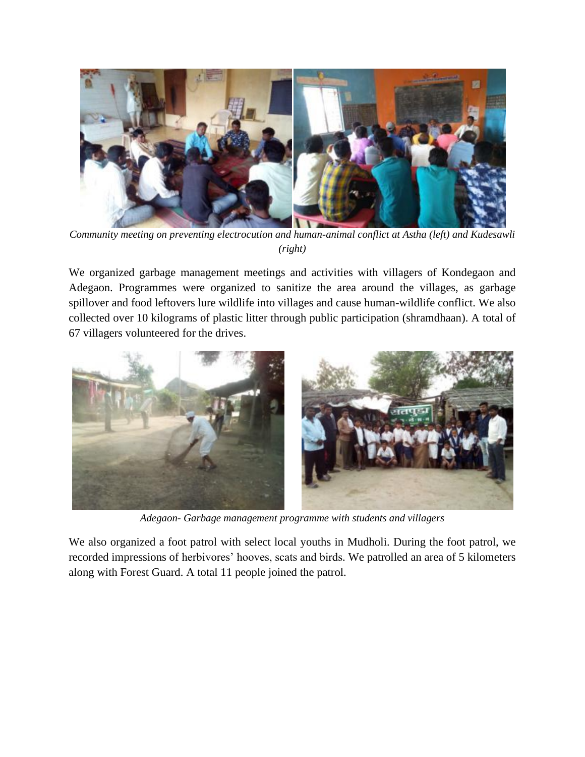

*Community meeting on preventing electrocution and human-animal conflict at Astha (left) and Kudesawli (right)*

We organized garbage management meetings and activities with villagers of Kondegaon and Adegaon. Programmes were organized to sanitize the area around the villages, as garbage spillover and food leftovers lure wildlife into villages and cause human-wildlife conflict. We also collected over 10 kilograms of plastic litter through public participation (shramdhaan). A total of 67 villagers volunteered for the drives.



*Adegaon- Garbage management programme with students and villagers*

We also organized a foot patrol with select local youths in Mudholi. During the foot patrol, we recorded impressions of herbivores' hooves, scats and birds. We patrolled an area of 5 kilometers along with Forest Guard. A total 11 people joined the patrol.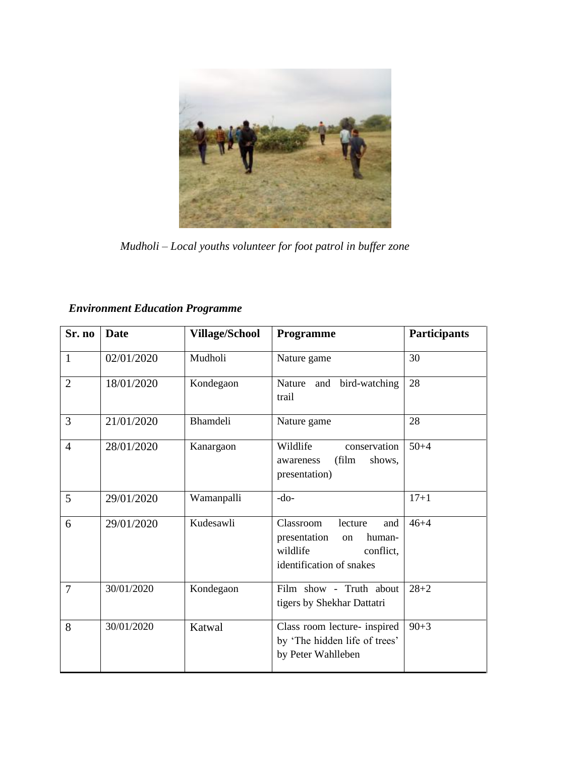

 *Mudholi – Local youths volunteer for foot patrol in buffer zone*

| <b>Environment Education Programme</b> |  |  |
|----------------------------------------|--|--|
|----------------------------------------|--|--|

| Sr. no         | <b>Date</b> | <b>Village/School</b> | Programme                                                                                                        | <b>Participants</b> |
|----------------|-------------|-----------------------|------------------------------------------------------------------------------------------------------------------|---------------------|
| $\mathbf{1}$   | 02/01/2020  | Mudholi               | Nature game                                                                                                      | 30                  |
| $\overline{2}$ | 18/01/2020  | Kondegaon             | Nature and bird-watching<br>trail                                                                                | 28                  |
| 3              | 21/01/2020  | <b>Bhamdeli</b>       | Nature game                                                                                                      | 28                  |
| $\overline{4}$ | 28/01/2020  | Kanargaon             | Wildlife<br>conservation<br>(film<br>shows,<br>awareness<br>presentation)                                        | $50 + 4$            |
| 5              | 29/01/2020  | Wamanpalli            | $-do-$                                                                                                           | $17 + 1$            |
| 6              | 29/01/2020  | Kudesawli             | Classroom<br>lecture<br>and<br>presentation<br>human-<br>on<br>wildlife<br>conflict.<br>identification of snakes | $46 + 4$            |
| $\overline{7}$ | 30/01/2020  | Kondegaon             | Film show - Truth about<br>tigers by Shekhar Dattatri                                                            | $28 + 2$            |
| 8              | 30/01/2020  | Katwal                | Class room lecture- inspired<br>by 'The hidden life of trees'<br>by Peter Wahlleben                              | $90 + 3$            |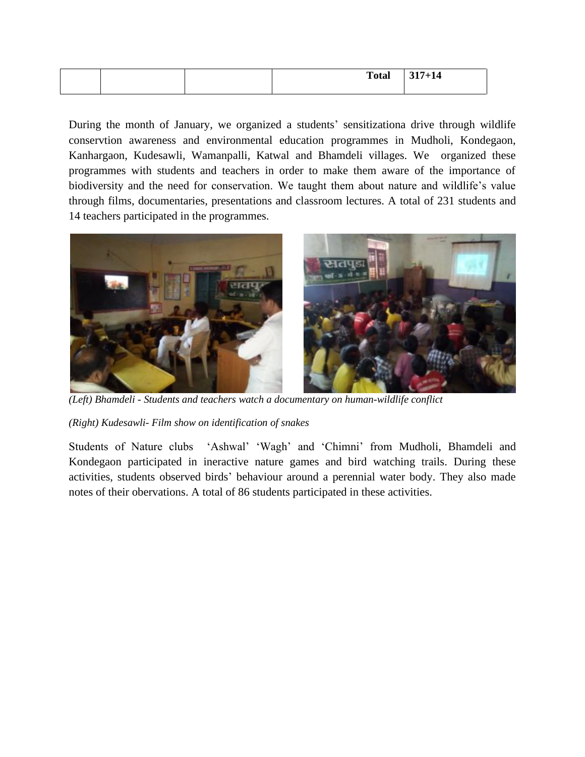|  | <b>Total</b> | $317 + 14$ |
|--|--------------|------------|
|  |              |            |

During the month of January, we organized a students' sensitizationa drive through wildlife conservtion awareness and environmental education programmes in Mudholi, Kondegaon, Kanhargaon, Kudesawli, Wamanpalli, Katwal and Bhamdeli villages. We organized these programmes with students and teachers in order to make them aware of the importance of biodiversity and the need for conservation. We taught them about nature and wildlife's value through films, documentaries, presentations and classroom lectures. A total of 231 students and 14 teachers participated in the programmes.



*(Left) Bhamdeli - Students and teachers watch a documentary on human-wildlife conflict* 

*(Right) Kudesawli- Film show on identification of snakes*

Students of Nature clubs 'Ashwal' 'Wagh' and 'Chimni' from Mudholi, Bhamdeli and Kondegaon participated in ineractive nature games and bird watching trails. During these activities, students observed birds' behaviour around a perennial water body. They also made notes of their obervations. A total of 86 students participated in these activities.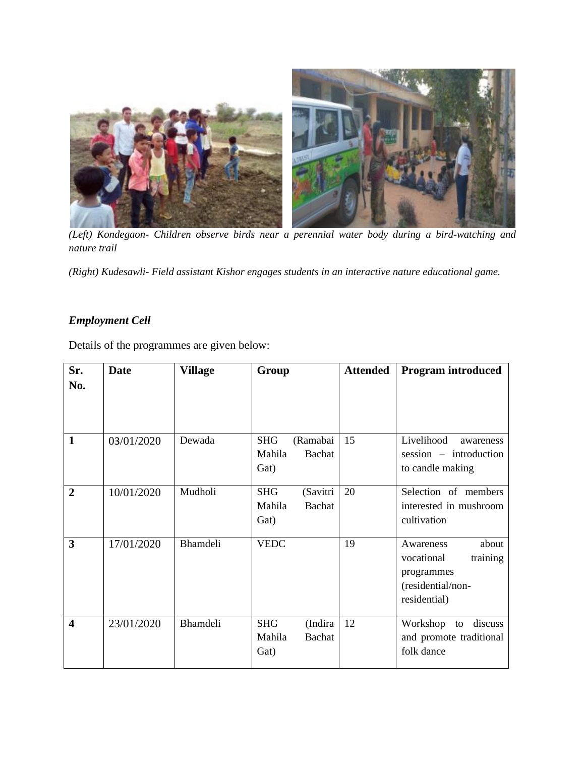

*(Left) Kondegaon- Children observe birds near a perennial water body during a bird-watching and nature trail* 

*(Right) Kudesawli- Field assistant Kishor engages students in an interactive nature educational game.* 

## *Employment Cell*

Details of the programmes are given below:

| Sr.<br>No.              | <b>Date</b> | <b>Village</b>  | Group                                                    | <b>Attended</b> | <b>Program introduced</b>                                                                       |
|-------------------------|-------------|-----------------|----------------------------------------------------------|-----------------|-------------------------------------------------------------------------------------------------|
| $\mathbf{1}$            | 03/01/2020  | Dewada          | <b>SHG</b><br>(Ramabai<br>Mahila<br>Bachat<br>Gat)       | 15              | Livelihood<br>awareness<br>$session$ – introduction<br>to candle making                         |
| $\overline{2}$          | 10/01/2020  | Mudholi         | (Savitri<br><b>SHG</b><br>Mahila<br>Bachat<br>Gat)       | 20              | Selection of members<br>interested in mushroom<br>cultivation                                   |
| 3                       | 17/01/2020  | <b>Bhamdeli</b> | <b>VEDC</b>                                              | 19              | about<br>Awareness<br>training<br>vocational<br>programmes<br>(residential/non-<br>residential) |
| $\overline{\mathbf{4}}$ | 23/01/2020  | <b>Bhamdeli</b> | <b>SHG</b><br>(Indira<br><b>Bachat</b><br>Mahila<br>Gat) | 12              | Workshop to<br>discuss<br>and promote traditional<br>folk dance                                 |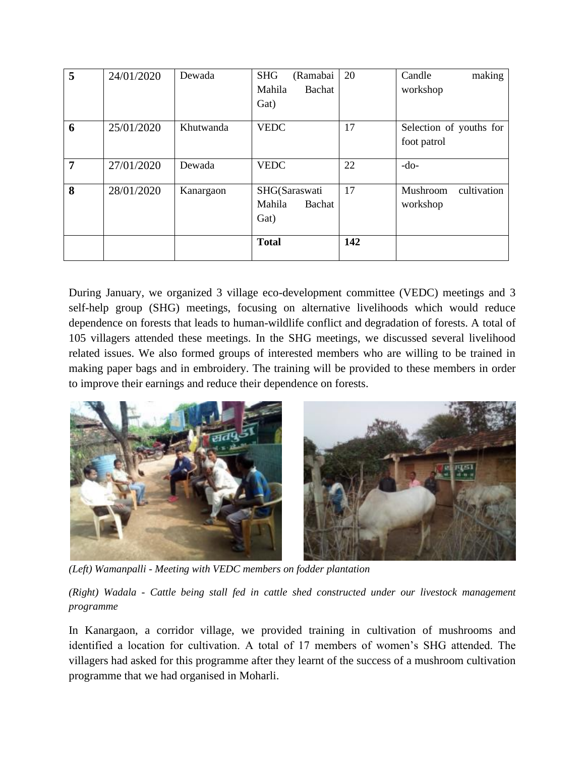| 5              | 24/01/2020 | Dewada    | (Ramabai<br><b>SHG</b> | 20  | making<br>Candle        |
|----------------|------------|-----------|------------------------|-----|-------------------------|
|                |            |           | Bachat<br>Mahila       |     | workshop                |
|                |            |           | Gat)                   |     |                         |
| 6              | 25/01/2020 | Khutwanda | <b>VEDC</b>            | 17  | Selection of youths for |
|                |            |           |                        |     | foot patrol             |
| $\overline{7}$ | 27/01/2020 | Dewada    | <b>VEDC</b>            | 22  | $-do-$                  |
| 8              | 28/01/2020 | Kanargaon | SHG(Saraswati          | 17  | Mushroom<br>cultivation |
|                |            |           | Mahila<br>Bachat       |     | workshop                |
|                |            |           | Gat)                   |     |                         |
|                |            |           |                        |     |                         |
|                |            |           | <b>Total</b>           | 142 |                         |
|                |            |           |                        |     |                         |

During January, we organized 3 village eco-development committee (VEDC) meetings and 3 self-help group (SHG) meetings, focusing on alternative livelihoods which would reduce dependence on forests that leads to human-wildlife conflict and degradation of forests. A total of 105 villagers attended these meetings. In the SHG meetings, we discussed several livelihood related issues. We also formed groups of interested members who are willing to be trained in making paper bags and in embroidery. The training will be provided to these members in order to improve their earnings and reduce their dependence on forests.



*(Left) Wamanpalli - Meeting with VEDC members on fodder plantation* 

*(Right) Wadala - Cattle being stall fed in cattle shed constructed under our livestock management programme*

In Kanargaon, a corridor village, we provided training in cultivation of mushrooms and identified a location for cultivation. A total of 17 members of women's SHG attended. The villagers had asked for this programme after they learnt of the success of a mushroom cultivation programme that we had organised in Moharli.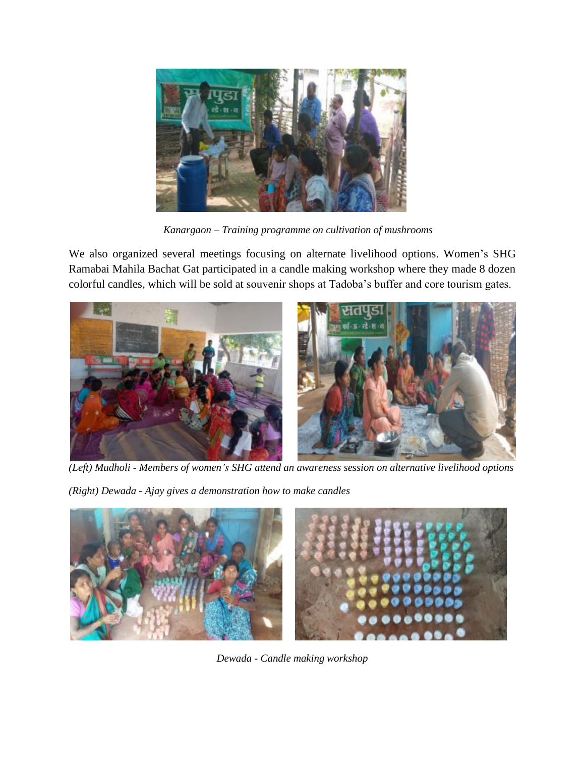

 *Kanargaon – Training programme on cultivation of mushrooms*

We also organized several meetings focusing on alternate livelihood options. Women's SHG Ramabai Mahila Bachat Gat participated in a candle making workshop where they made 8 dozen colorful candles, which will be sold at souvenir shops at Tadoba's buffer and core tourism gates.



*(Left) Mudholi - Members of women's SHG attend an awareness session on alternative livelihood options*

*(Right) Dewada - Ajay gives a demonstration how to make candles*



*Dewada - Candle making workshop*